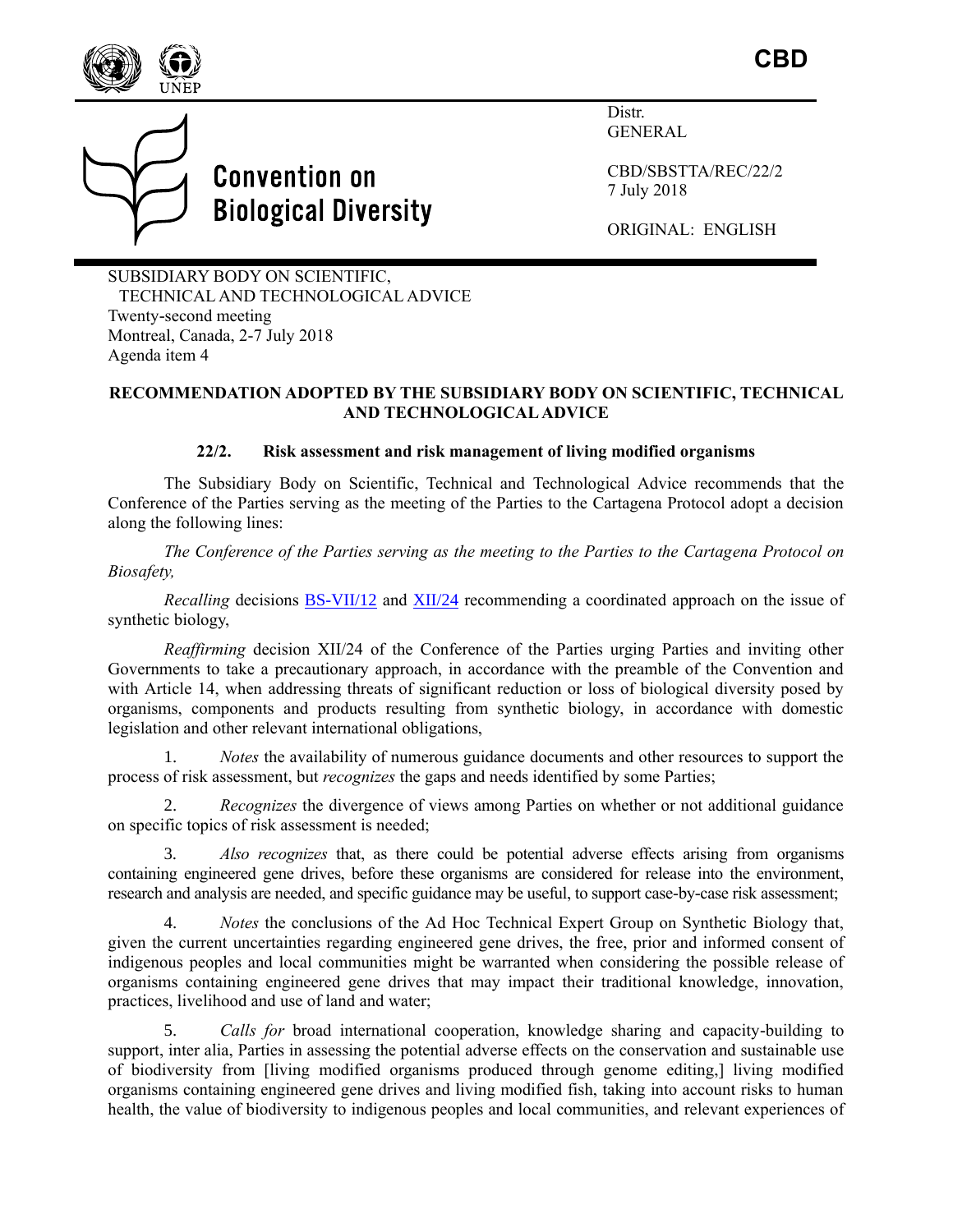

**CBD**

**Convention on Biological Diversity**  Distr. GENERAL

CBD/SBSTTA/REC/22/2 7 July 2018

ORIGINAL: ENGLISH

SUBSIDIARY BODY ON SCIENTIFIC, TECHNICAL AND TECHNOLOGICAL ADVICE Twenty-second meeting Montreal, Canada, 2-7 July 2018 Agenda item 4

## **RECOMMENDATION ADOPTED BY THE SUBSIDIARY BODY ON SCIENTIFIC, TECHNICAL AND TECHNOLOGICAL ADVICE**

### **22/2. Risk assessment and risk management of living modified organisms**

The Subsidiary Body on Scientific, Technical and Technological Advice recommends that the Conference of the Parties serving as the meeting of the Parties to the Cartagena Protocol adopt a decision along the following lines:

*The Conference of the Parties serving as the meeting to the Parties to the Cartagena Protocol on Biosafety,*

*Recalling decisions [BS-VII/12](https://www.cbd.int/doc/decisions/mop-07/mop-07-dec-12-en.pdf) and [XII/24](https://www.cbd.int/doc/decisions/cop-12/cop-12-dec-24-en.pdf) recommending a coordinated approach on the issue of* synthetic biology,

*Reaffirming* decision XII/24 of the Conference of the Parties urging Parties and inviting other Governments to take a precautionary approach, in accordance with the preamble of the Convention and with Article 14, when addressing threats of significant reduction or loss of biological diversity posed by organisms, components and products resulting from synthetic biology, in accordance with domestic legislation and other relevant international obligations,

1. *Notes* the availability of numerous guidance documents and other resources to support the process of risk assessment, but *recognizes* the gaps and needs identified by some Parties;

2. *Recognizes* the divergence of views among Parties on whether or not additional guidance on specific topics of risk assessment is needed;

3. *Also recognizes* that, as there could be potential adverse effects arising from organisms containing engineered gene drives, before these organisms are considered for release into the environment, research and analysis are needed, and specific guidance may be useful, to support case-by-case risk assessment;

4. *Notes* the conclusions of the Ad Hoc Technical Expert Group on Synthetic Biology that, given the current uncertainties regarding engineered gene drives, the free, prior and informed consent of indigenous peoples and local communities might be warranted when considering the possible release of organisms containing engineered gene drives that may impact their traditional knowledge, innovation, practices, livelihood and use of land and water;

5. *Calls for* broad international cooperation, knowledge sharing and capacity-building to support, inter alia, Parties in assessing the potential adverse effects on the conservation and sustainable use of biodiversity from [living modified organisms produced through genome editing,] living modified organisms containing engineered gene drives and living modified fish, taking into account risks to human health, the value of biodiversity to indigenous peoples and local communities, and relevant experiences of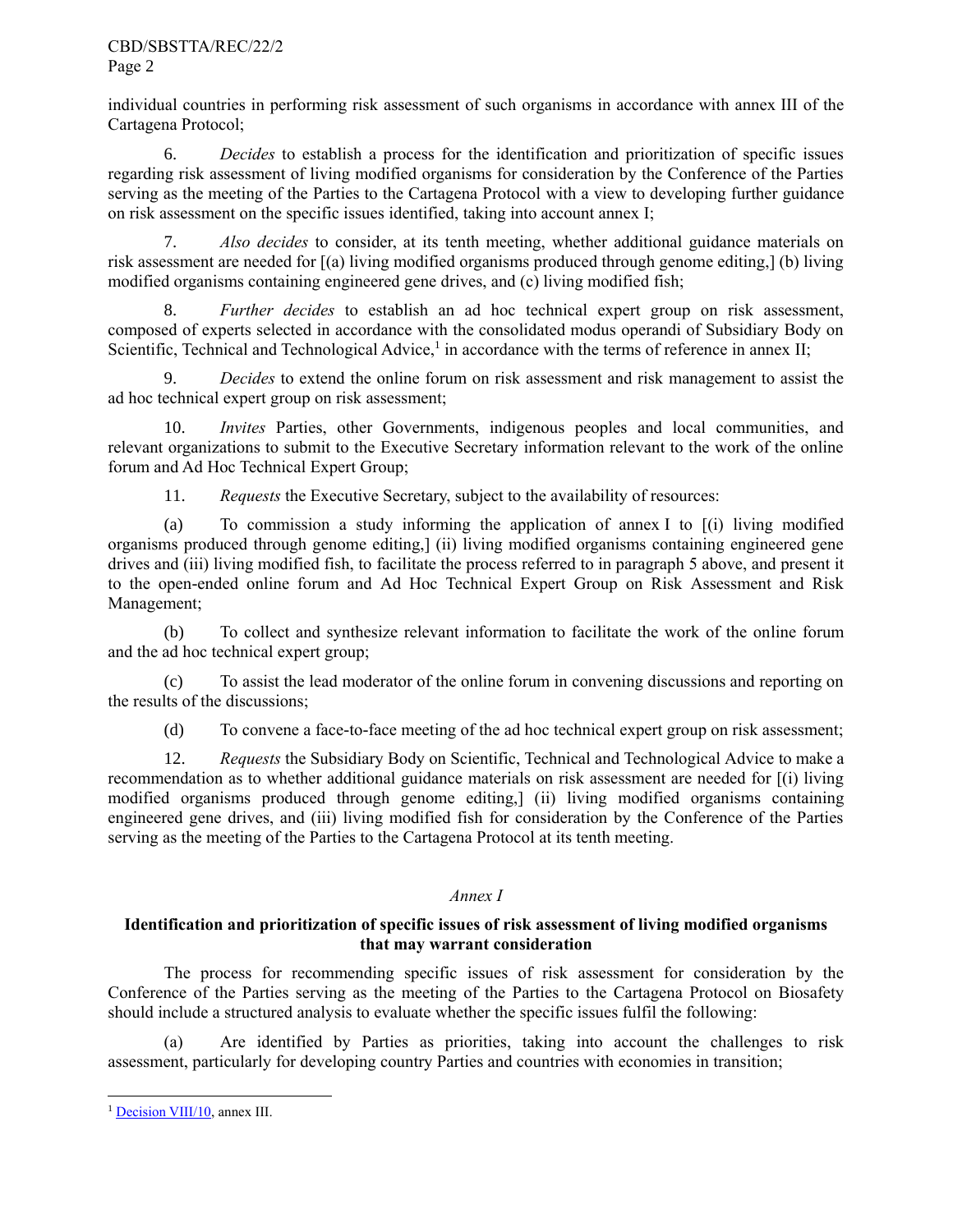### CBD/SBSTTA/REC/22/2 Page 2

individual countries in performing risk assessment of such organisms in accordance with annex III of the Cartagena Protocol;

6. *Decides* to establish a process for the identification and prioritization of specific issues regarding risk assessment of living modified organisms for consideration by the Conference of the Parties serving as the meeting of the Parties to the Cartagena Protocol with a view to developing further guidance on risk assessment on the specific issues identified, taking into account annex I;

7. *Also decides* to consider, at its tenth meeting, whether additional guidance materials on risk assessment are needed for [(a) living modified organisms produced through genome editing,] (b) living modified organisms containing engineered gene drives, and (c) living modified fish;

8. *Further decides* to establish an ad hoc technical expert group on risk assessment, composed of experts selected in accordance with the consolidated modus operandi of Subsidiary Body on Scientific, Technical and Technological Advice,<sup>1</sup> in accordance with the terms of reference in annex II;

9. *Decides* to extend the online forum on risk assessment and risk management to assist the ad hoc technical expert group on risk assessment;

10. *Invites* Parties, other Governments, indigenous peoples and local communities, and relevant organizations to submit to the Executive Secretary information relevant to the work of the online forum and Ad Hoc Technical Expert Group;

11. *Requests* the Executive Secretary, subject to the availability of resources:

(a) To commission a study informing the application of annex I to [(i) living modified organisms produced through genome editing,] (ii) living modified organisms containing engineered gene drives and (iii) living modified fish, to facilitate the process referred to in paragraph 5 above, and present it to the open-ended online forum and Ad Hoc Technical Expert Group on Risk Assessment and Risk Management;

(b) To collect and synthesize relevant information to facilitate the work of the online forum and the ad hoc technical expert group;

(c) To assist the lead moderator of the online forum in convening discussions and reporting on the results of the discussions;

(d) To convene a face-to-face meeting of the ad hoc technical expert group on risk assessment;

12. *Requests* the Subsidiary Body on Scientific, Technical and Technological Advice to make a recommendation as to whether additional guidance materials on risk assessment are needed for [(i) living modified organisms produced through genome editing,] (ii) living modified organisms containing engineered gene drives, and (iii) living modified fish for consideration by the Conference of the Parties serving as the meeting of the Parties to the Cartagena Protocol at its tenth meeting.

# *Annex I*

# **Identification and prioritization of specific issues of risk assessment of living modified organisms that may warrant consideration**

The process for recommending specific issues of risk assessment for consideration by the Conference of the Parties serving as the meeting of the Parties to the Cartagena Protocol on Biosafety should include a structured analysis to evaluate whether the specific issues fulfil the following:

Are identified by Parties as priorities, taking into account the challenges to risk assessment, particularly for developing country Parties and countries with economies in transition;

l <sup>1</sup> [Decision VIII/10,](https://www.cbd.int/doc/decisions/cop-08/cop-08-dec-10-en.pdf) annex III.